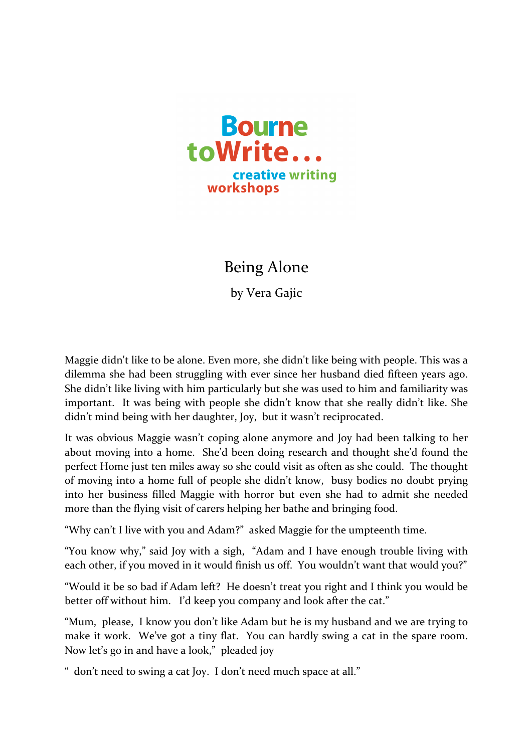

Being Alone

by Vera Gajic

Maggie didn't like to be alone. Even more, she didn't like being with people. This was a dilemma she had been struggling with ever since her husband died fifteen years ago. She didn't like living with him particularly but she was used to him and familiarity was important. It was being with people she didn't know that she really didn't like. She didn't mind being with her daughter, Joy, but it wasn't reciprocated.

It was obvious Maggie wasn't coping alone anymore and Joy had been talking to her about moving into a home. She'd been doing research and thought she'd found the perfect Home just ten miles away so she could visit as often as she could. The thought of moving into a home full of people she didn't know, busy bodies no doubt prying into her business filled Maggie with horror but even she had to admit she needed more than the flying visit of carers helping her bathe and bringing food.

"Why can't I live with you and Adam?" asked Maggie for the umpteenth time.

"You know why," said Joy with a sigh, "Adam and I have enough trouble living with each other, if you moved in it would finish us off. You wouldn't want that would you?"

"Would it be so bad if Adam left? He doesn't treat you right and I think you would be better off without him. I'd keep you company and look after the cat."

"Mum, please, I know you don't like Adam but he is my husband and we are trying to make it work. We've got a tiny flat. You can hardly swing a cat in the spare room. Now let's go in and have a look," pleaded joy

" don't need to swing a cat loy. I don't need much space at all."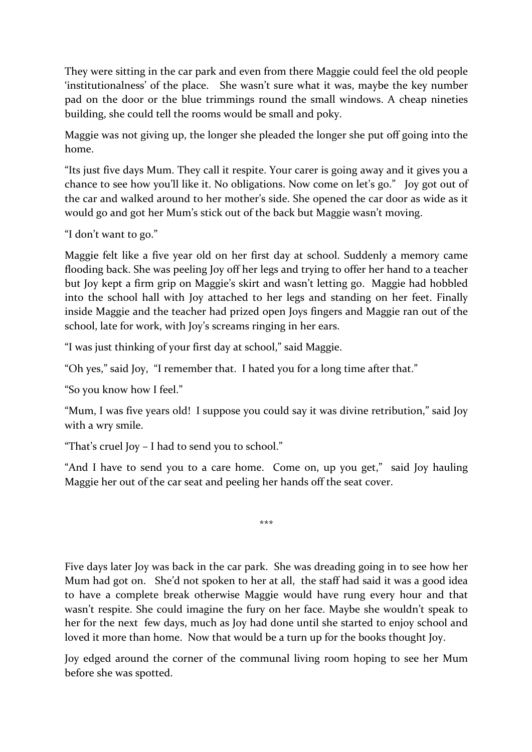They were sitting in the car park and even from there Maggie could feel the old people 'institutionalness' of the place. She wasn't sure what it was, maybe the key number pad on the door or the blue trimmings round the small windows. A cheap nineties building, she could tell the rooms would be small and poky.

Maggie was not giving up, the longer she pleaded the longer she put off going into the home. 

"Its just five days Mum. They call it respite. Your carer is going away and it gives you a chance to see how you'll like it. No obligations. Now come on let's go." Joy got out of the car and walked around to her mother's side. She opened the car door as wide as it would go and got her Mum's stick out of the back but Maggie wasn't moving.

"I don't want to go."

Maggie felt like a five year old on her first day at school. Suddenly a memory came flooding back. She was peeling Joy off her legs and trying to offer her hand to a teacher but Joy kept a firm grip on Maggie's skirt and wasn't letting go. Maggie had hobbled into the school hall with Joy attached to her legs and standing on her feet. Finally inside Maggie and the teacher had prized open Joys fingers and Maggie ran out of the school, late for work, with Joy's screams ringing in her ears.

"I was just thinking of your first day at school," said Maggie.

"Oh yes," said Joy, "I remember that. I hated you for a long time after that."

"So you know how I feel."

"Mum, I was five years old! I suppose you could say it was divine retribution," said Joy with a wry smile.

"That's cruel Joy – I had to send you to school."

"And I have to send you to a care home. Come on, up you get," said Joy hauling Maggie her out of the car seat and peeling her hands off the seat cover.

\*\*\*

Five days later Joy was back in the car park. She was dreading going in to see how her Mum had got on. She'd not spoken to her at all, the staff had said it was a good idea to have a complete break otherwise Maggie would have rung every hour and that wasn't respite. She could imagine the fury on her face. Maybe she wouldn't speak to her for the next few days, much as Joy had done until she started to enjoy school and loved it more than home. Now that would be a turn up for the books thought Joy.

Joy edged around the corner of the communal living room hoping to see her Mum before she was spotted.